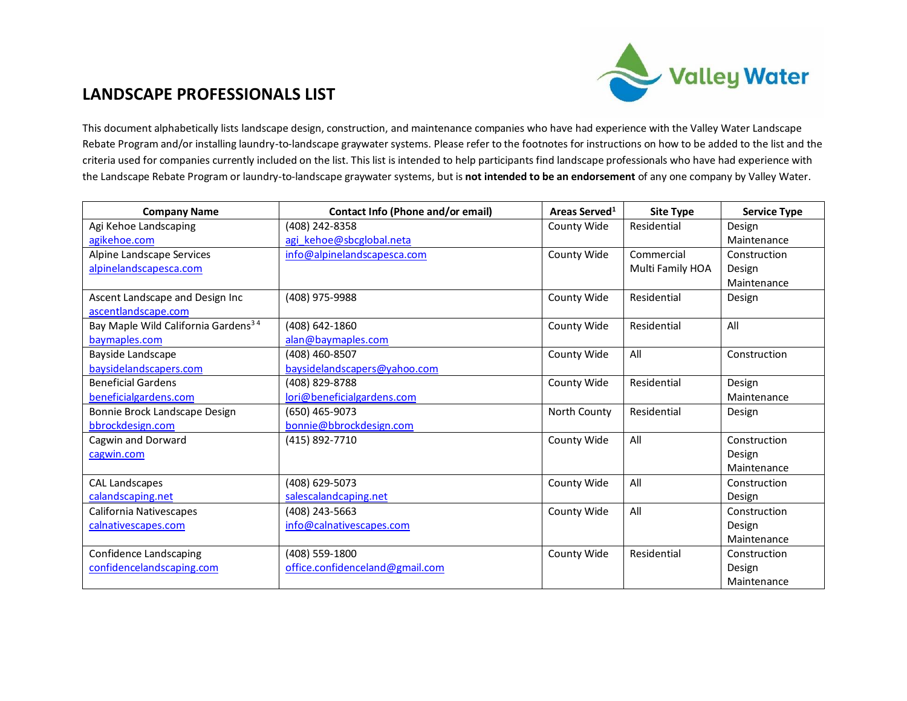

## **LANDSCAPE PROFESSIONALS LIST**

This document alphabetically lists landscape design, construction, and maintenance companies who have had experience with the Valley Water Landscape Rebate Program and/or installing laundry-to-landscape graywater systems. Please refer to the footnotes for instructions on how to be added to the list and the criteria used for companies currently included on the list. This list is intended to help participants find landscape professionals who have had experience with the Landscape Rebate Program or laundry-to-landscape graywater systems, but is **not intended to be an endorsement** of any one company by Valley Water.

| <b>Company Name</b>                             | Contact Info (Phone and/or email) | Areas Served <sup>1</sup> | <b>Site Type</b> | <b>Service Type</b> |
|-------------------------------------------------|-----------------------------------|---------------------------|------------------|---------------------|
| Agi Kehoe Landscaping                           | (408) 242-8358                    | County Wide               | Residential      | Design              |
| agikehoe.com                                    | agi kehoe@sbcglobal.neta          |                           |                  | Maintenance         |
| Alpine Landscape Services                       | info@alpinelandscapesca.com       | County Wide               | Commercial       | Construction        |
| alpinelandscapesca.com                          |                                   |                           | Multi Family HOA | Design              |
|                                                 |                                   |                           |                  | Maintenance         |
| Ascent Landscape and Design Inc                 | (408) 975-9988                    | County Wide               | Residential      | Design              |
| ascentlandscape.com                             |                                   |                           |                  |                     |
| Bay Maple Wild California Gardens <sup>34</sup> | (408) 642-1860                    | County Wide               | Residential      | All                 |
| baymaples.com                                   | alan@baymaples.com                |                           |                  |                     |
| Bayside Landscape                               | (408) 460-8507                    | County Wide               | All              | Construction        |
| baysidelandscapers.com                          | baysidelandscapers@yahoo.com      |                           |                  |                     |
| <b>Beneficial Gardens</b>                       | (408) 829-8788                    | County Wide               | Residential      | Design              |
| beneficialgardens.com                           | lori@beneficialgardens.com        |                           |                  | Maintenance         |
| Bonnie Brock Landscape Design                   | (650) 465-9073                    | North County              | Residential      | Design              |
| bbrockdesign.com                                | bonnie@bbrockdesign.com           |                           |                  |                     |
| Cagwin and Dorward                              | (415) 892-7710                    | County Wide               | All              | Construction        |
| cagwin.com                                      |                                   |                           |                  | Design              |
|                                                 |                                   |                           |                  | Maintenance         |
| <b>CAL Landscapes</b>                           | (408) 629-5073                    | County Wide               | All              | Construction        |
| calandscaping.net                               | salescalandcaping.net             |                           |                  | Design              |
| California Nativescapes                         | (408) 243-5663                    | County Wide               | All              | Construction        |
| calnativescapes.com                             | info@calnativescapes.com          |                           |                  | Design              |
|                                                 |                                   |                           |                  | Maintenance         |
| Confidence Landscaping                          | (408) 559-1800                    | County Wide               | Residential      | Construction        |
| confidencelandscaping.com                       | office.confidenceland@gmail.com   |                           |                  | Design              |
|                                                 |                                   |                           |                  | Maintenance         |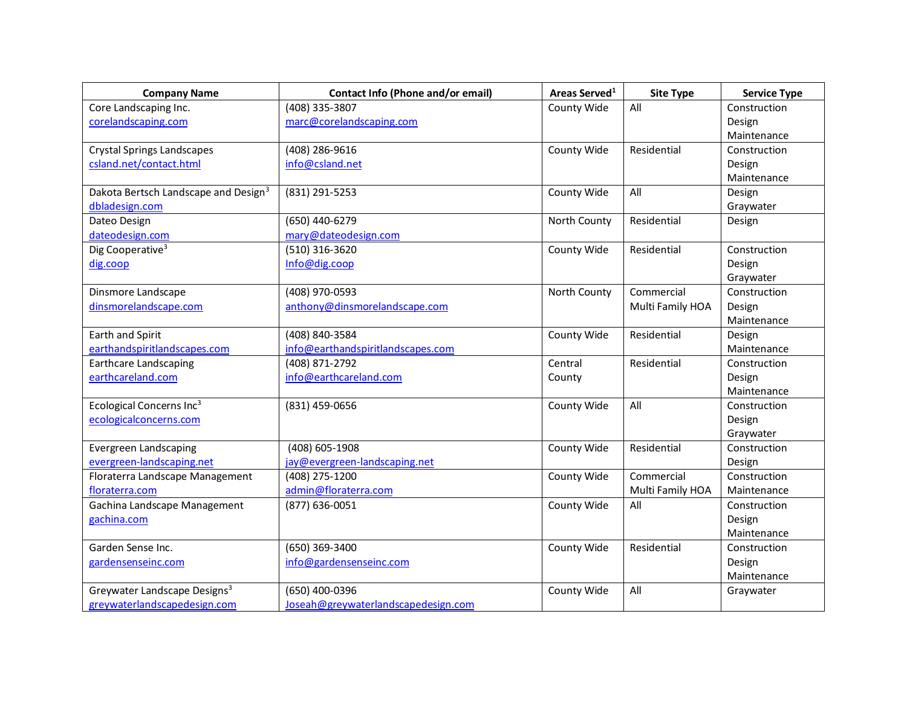| <b>Company Name</b>                              | Contact Info (Phone and/or email)   | Areas Served <sup>1</sup> | <b>Site Type</b> | <b>Service Type</b> |
|--------------------------------------------------|-------------------------------------|---------------------------|------------------|---------------------|
| Core Landscaping Inc.                            | (408) 335-3807                      | County Wide               | All              | Construction        |
| corelandscaping.com                              | marc@corelandscaping.com            |                           |                  | Design              |
|                                                  |                                     |                           |                  | Maintenance         |
| <b>Crystal Springs Landscapes</b>                | (408) 286-9616                      | County Wide               | Residential      | Construction        |
| csland.net/contact.html                          | info@csland.net                     |                           |                  | Design              |
|                                                  |                                     |                           |                  | Maintenance         |
| Dakota Bertsch Landscape and Design <sup>3</sup> | (831) 291-5253                      | County Wide               | All              | Design              |
| dbladesign.com                                   |                                     |                           |                  | Graywater           |
| Dateo Design                                     | (650) 440-6279                      | North County              | Residential      | Design              |
| dateodesign.com                                  | mary@dateodesign.com                |                           |                  |                     |
| Dig Cooperative <sup>3</sup>                     | (510) 316-3620                      | County Wide               | Residential      | Construction        |
| dig.coop                                         | Info@dig.coop                       |                           |                  | Design              |
|                                                  |                                     |                           |                  | Graywater           |
| Dinsmore Landscape                               | (408) 970-0593                      | North County              | Commercial       | Construction        |
| dinsmorelandscape.com                            | anthony@dinsmorelandscape.com       |                           | Multi Family HOA | Design              |
|                                                  |                                     |                           |                  | Maintenance         |
| Earth and Spirit                                 | (408) 840-3584                      | County Wide               | Residential      | Design              |
| earthandspiritlandscapes.com                     | info@earthandspiritlandscapes.com   |                           |                  | Maintenance         |
| <b>Earthcare Landscaping</b>                     | (408) 871-2792                      | Central                   | Residential      | Construction        |
| earthcareland.com                                | info@earthcareland.com              | County                    |                  | Design              |
|                                                  |                                     |                           |                  | Maintenance         |
| Ecological Concerns Inc <sup>3</sup>             | (831) 459-0656                      | County Wide               | All              | Construction        |
| ecologicalconcerns.com                           |                                     |                           |                  | Design              |
|                                                  |                                     |                           |                  | Graywater           |
| <b>Evergreen Landscaping</b>                     | (408) 605-1908                      | County Wide               | Residential      | Construction        |
| evergreen-landscaping.net                        | jay@evergreen-landscaping.net       |                           |                  | Design              |
| Floraterra Landscape Management                  | (408) 275-1200                      | County Wide               | Commercial       | Construction        |
| floraterra.com                                   | admin@floraterra.com                |                           | Multi Family HOA | Maintenance         |
| Gachina Landscape Management                     | (877) 636-0051                      | County Wide               | All              | Construction        |
| gachina.com                                      |                                     |                           |                  | Design              |
|                                                  |                                     |                           |                  | Maintenance         |
| Garden Sense Inc.                                | (650) 369-3400                      | County Wide               | Residential      | Construction        |
| gardensenseinc.com                               | info@gardensenseinc.com             |                           |                  | Design              |
|                                                  |                                     |                           |                  | Maintenance         |
| Greywater Landscape Designs <sup>3</sup>         | (650) 400-0396                      | County Wide               | All              | Graywater           |
| greywaterlandscapedesign.com                     | Joseah@greywaterlandscapedesign.com |                           |                  |                     |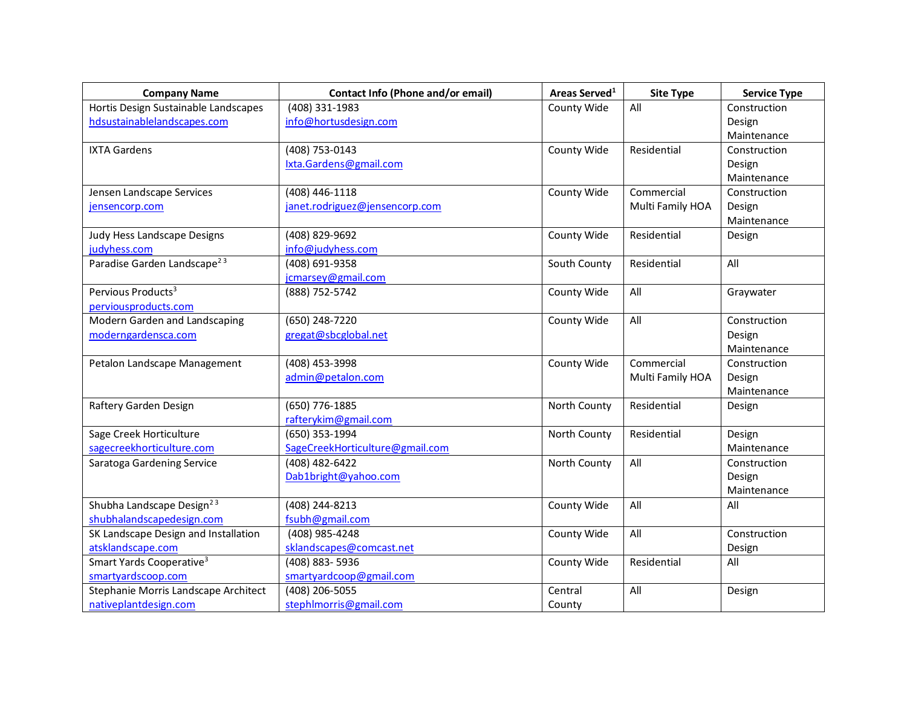| <b>Company Name</b>                     | Contact Info (Phone and/or email) | Areas Served <sup>1</sup> | <b>Site Type</b> | <b>Service Type</b> |
|-----------------------------------------|-----------------------------------|---------------------------|------------------|---------------------|
| Hortis Design Sustainable Landscapes    | (408) 331-1983                    | County Wide               | All              | Construction        |
| hdsustainablelandscapes.com             | info@hortusdesign.com             |                           |                  | Design              |
|                                         |                                   |                           |                  | Maintenance         |
| <b>IXTA Gardens</b>                     | (408) 753-0143                    | County Wide               | Residential      | Construction        |
|                                         | Ixta.Gardens@gmail.com            |                           |                  | Design              |
|                                         |                                   |                           |                  | Maintenance         |
| Jensen Landscape Services               | (408) 446-1118                    | County Wide               | Commercial       | Construction        |
| jensencorp.com                          | janet.rodriguez@jensencorp.com    |                           | Multi Family HOA | Design              |
|                                         |                                   |                           |                  | Maintenance         |
| Judy Hess Landscape Designs             | (408) 829-9692                    | County Wide               | Residential      | Design              |
| judyhess.com                            | info@judyhess.com                 |                           |                  |                     |
| Paradise Garden Landscape <sup>23</sup> | (408) 691-9358                    | South County              | Residential      | All                 |
|                                         | jcmarsey@gmail.com                |                           |                  |                     |
| Pervious Products <sup>3</sup>          | (888) 752-5742                    | County Wide               | All              | Graywater           |
| perviousproducts.com                    |                                   |                           |                  |                     |
| Modern Garden and Landscaping           | (650) 248-7220                    | County Wide               | All              | Construction        |
| moderngardensca.com                     | gregat@sbcglobal.net              |                           |                  | Design              |
|                                         |                                   |                           |                  | Maintenance         |
| Petalon Landscape Management            | (408) 453-3998                    | County Wide               | Commercial       | Construction        |
|                                         | admin@petalon.com                 |                           | Multi Family HOA | Design              |
|                                         |                                   |                           |                  | Maintenance         |
| Raftery Garden Design                   | (650) 776-1885                    | North County              | Residential      | Design              |
|                                         | rafterykim@gmail.com              |                           |                  |                     |
| Sage Creek Horticulture                 | (650) 353-1994                    | North County              | Residential      | Design              |
| sagecreekhorticulture.com               | SageCreekHorticulture@gmail.com   |                           |                  | Maintenance         |
| Saratoga Gardening Service              | (408) 482-6422                    | North County              | All              | Construction        |
|                                         | Dab1bright@yahoo.com              |                           |                  | Design              |
|                                         |                                   |                           |                  | Maintenance         |
| Shubha Landscape Design <sup>23</sup>   | (408) 244-8213                    | County Wide               | All              | All                 |
| shubhalandscapedesign.com               | fsubh@gmail.com                   |                           |                  |                     |
| SK Landscape Design and Installation    | (408) 985-4248                    | County Wide               | All              | Construction        |
| atsklandscape.com                       | sklandscapes@comcast.net          |                           |                  | Design              |
| Smart Yards Cooperative <sup>3</sup>    | (408) 883-5936                    | County Wide               | Residential      | All                 |
| smartyardscoop.com                      | smartyardcoop@gmail.com           |                           |                  |                     |
| Stephanie Morris Landscape Architect    | (408) 206-5055                    | Central                   | All              | Design              |
| nativeplantdesign.com                   | stephlmorris@gmail.com            | County                    |                  |                     |